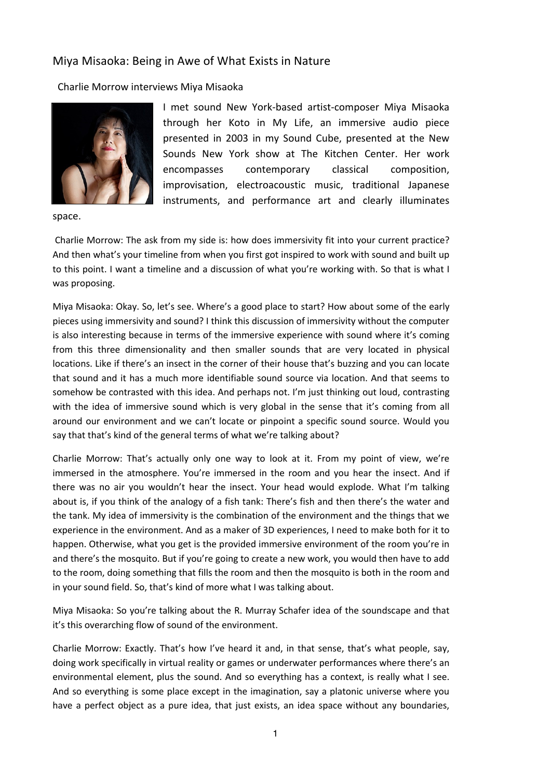## Miya Misaoka: Being in Awe of What Exists in Nature

Charlie Morrow interviews Miya Misaoka



space.

I met sound New York-based artist-composer Miya Misaoka through her Koto in My Life, an immersive audio piece presented in 2003 in my Sound Cube, presented at the New Sounds New York show at The Kitchen Center. Her work encompasses contemporary classical composition, improvisation, electroacoustic music, traditional Japanese instruments, and performance art and clearly illuminates

Charlie Morrow: The ask from my side is: how does immersivity fit into your current practice? And then what's your timeline from when you first got inspired to work with sound and built up to this point. I want a timeline and a discussion of what you're working with. So that is what I was proposing.

Miya Misaoka: Okay. So, let's see. Where's a good place to start? How about some of the early pieces using immersivity and sound? I think this discussion of immersivity without the computer is also interesting because in terms of the immersive experience with sound where it's coming from this three dimensionality and then smaller sounds that are very located in physical locations. Like if there's an insect in the corner of their house that's buzzing and you can locate that sound and it has a much more identifiable sound source via location. And that seems to somehow be contrasted with this idea. And perhaps not. I'm just thinking out loud, contrasting with the idea of immersive sound which is very global in the sense that it's coming from all around our environment and we can't locate or pinpoint a specific sound source. Would you say that that's kind of the general terms of what we're talking about?

Charlie Morrow: That's actually only one way to look at it. From my point of view, we're immersed in the atmosphere. You're immersed in the room and you hear the insect. And if there was no air you wouldn't hear the insect. Your head would explode. What I'm talking about is, if you think of the analogy of a fish tank: There's fish and then there's the water and the tank. My idea of immersivity is the combination of the environment and the things that we experience in the environment. And as a maker of 3D experiences, I need to make both for it to happen. Otherwise, what you get is the provided immersive environment of the room you're in and there's the mosquito. But if you're going to create a new work, you would then have to add to the room, doing something that fills the room and then the mosquito is both in the room and in your sound field. So, that's kind of more what I was talking about.

Miya Misaoka: So you're talking about the R. Murray Schafer idea of the soundscape and that it's this overarching flow of sound of the environment.

Charlie Morrow: Exactly. That's how I've heard it and, in that sense, that's what people, say, doing work specifically in virtual reality or games or underwater performances where there's an environmental element, plus the sound. And so everything has a context, is really what I see. And so everything is some place except in the imagination, say a platonic universe where you have a perfect object as a pure idea, that just exists, an idea space without any boundaries,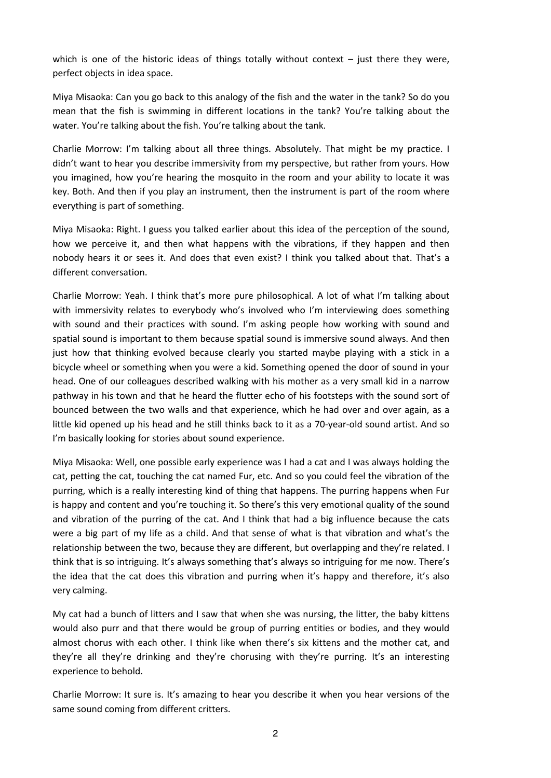which is one of the historic ideas of things totally without context  $-$  just there they were, perfect objects in idea space.

Miya Misaoka: Can you go back to this analogy of the fish and the water in the tank? So do you mean that the fish is swimming in different locations in the tank? You're talking about the water. You're talking about the fish. You're talking about the tank.

Charlie Morrow: I'm talking about all three things. Absolutely. That might be my practice. I didn't want to hear you describe immersivity from my perspective, but rather from yours. How you imagined, how you're hearing the mosquito in the room and your ability to locate it was key. Both. And then if you play an instrument, then the instrument is part of the room where everything is part of something.

Miya Misaoka: Right. I guess you talked earlier about this idea of the perception of the sound, how we perceive it, and then what happens with the vibrations, if they happen and then nobody hears it or sees it. And does that even exist? I think you talked about that. That's a different conversation.

Charlie Morrow: Yeah. I think that's more pure philosophical. A lot of what I'm talking about with immersivity relates to everybody who's involved who I'm interviewing does something with sound and their practices with sound. I'm asking people how working with sound and spatial sound is important to them because spatial sound is immersive sound always. And then just how that thinking evolved because clearly you started maybe playing with a stick in a bicycle wheel or something when you were a kid. Something opened the door of sound in your head. One of our colleagues described walking with his mother as a very small kid in a narrow pathway in his town and that he heard the flutter echo of his footsteps with the sound sort of bounced between the two walls and that experience, which he had over and over again, as a little kid opened up his head and he still thinks back to it as a 70-year-old sound artist. And so I'm basically looking for stories about sound experience.

Miya Misaoka: Well, one possible early experience was I had a cat and I was always holding the cat, petting the cat, touching the cat named Fur, etc. And so you could feel the vibration of the purring, which is a really interesting kind of thing that happens. The purring happens when Fur is happy and content and you're touching it. So there's this very emotional quality of the sound and vibration of the purring of the cat. And I think that had a big influence because the cats were a big part of my life as a child. And that sense of what is that vibration and what's the relationship between the two, because they are different, but overlapping and they're related. I think that is so intriguing. It's always something that's always so intriguing for me now. There's the idea that the cat does this vibration and purring when it's happy and therefore, it's also very calming.

My cat had a bunch of litters and I saw that when she was nursing, the litter, the baby kittens would also purr and that there would be group of purring entities or bodies, and they would almost chorus with each other. I think like when there's six kittens and the mother cat, and they're all they're drinking and they're chorusing with they're purring. It's an interesting experience to behold.

Charlie Morrow: It sure is. It's amazing to hear you describe it when you hear versions of the same sound coming from different critters.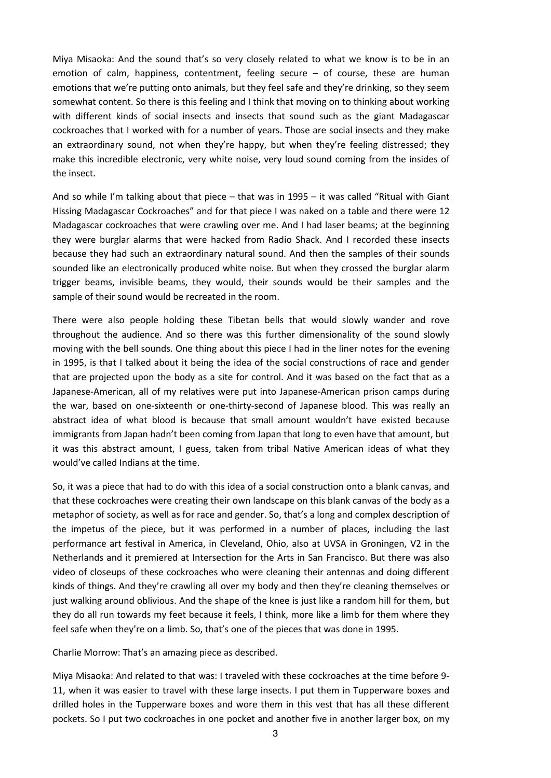Miya Misaoka: And the sound that's so very closely related to what we know is to be in an emotion of calm, happiness, contentment, feeling secure – of course, these are human emotions that we're putting onto animals, but they feel safe and they're drinking, so they seem somewhat content. So there is this feeling and I think that moving on to thinking about working with different kinds of social insects and insects that sound such as the giant Madagascar cockroaches that I worked with for a number of years. Those are social insects and they make an extraordinary sound, not when they're happy, but when they're feeling distressed; they make this incredible electronic, very white noise, very loud sound coming from the insides of the insect.

And so while I'm talking about that piece – that was in 1995 – it was called "Ritual with Giant Hissing Madagascar Cockroaches" and for that piece I was naked on a table and there were 12 Madagascar cockroaches that were crawling over me. And I had laser beams; at the beginning they were burglar alarms that were hacked from Radio Shack. And I recorded these insects because they had such an extraordinary natural sound. And then the samples of their sounds sounded like an electronically produced white noise. But when they crossed the burglar alarm trigger beams, invisible beams, they would, their sounds would be their samples and the sample of their sound would be recreated in the room.

There were also people holding these Tibetan bells that would slowly wander and rove throughout the audience. And so there was this further dimensionality of the sound slowly moving with the bell sounds. One thing about this piece I had in the liner notes for the evening in 1995, is that I talked about it being the idea of the social constructions of race and gender that are projected upon the body as a site for control. And it was based on the fact that as a Japanese-American, all of my relatives were put into Japanese-American prison camps during the war, based on one-sixteenth or one-thirty-second of Japanese blood. This was really an abstract idea of what blood is because that small amount wouldn't have existed because immigrants from Japan hadn't been coming from Japan that long to even have that amount, but it was this abstract amount, I guess, taken from tribal Native American ideas of what they would've called Indians at the time.

So, it was a piece that had to do with this idea of a social construction onto a blank canvas, and that these cockroaches were creating their own landscape on this blank canvas of the body as a metaphor of society, as well as for race and gender. So, that's a long and complex description of the impetus of the piece, but it was performed in a number of places, including the last performance art festival in America, in Cleveland, Ohio, also at UVSA in Groningen, V2 in the Netherlands and it premiered at Intersection for the Arts in San Francisco. But there was also video of closeups of these cockroaches who were cleaning their antennas and doing different kinds of things. And they're crawling all over my body and then they're cleaning themselves or just walking around oblivious. And the shape of the knee is just like a random hill for them, but they do all run towards my feet because it feels, I think, more like a limb for them where they feel safe when they're on a limb. So, that's one of the pieces that was done in 1995.

Charlie Morrow: That's an amazing piece as described.

Miya Misaoka: And related to that was: I traveled with these cockroaches at the time before 9- 11, when it was easier to travel with these large insects. I put them in Tupperware boxes and drilled holes in the Tupperware boxes and wore them in this vest that has all these different pockets. So I put two cockroaches in one pocket and another five in another larger box, on my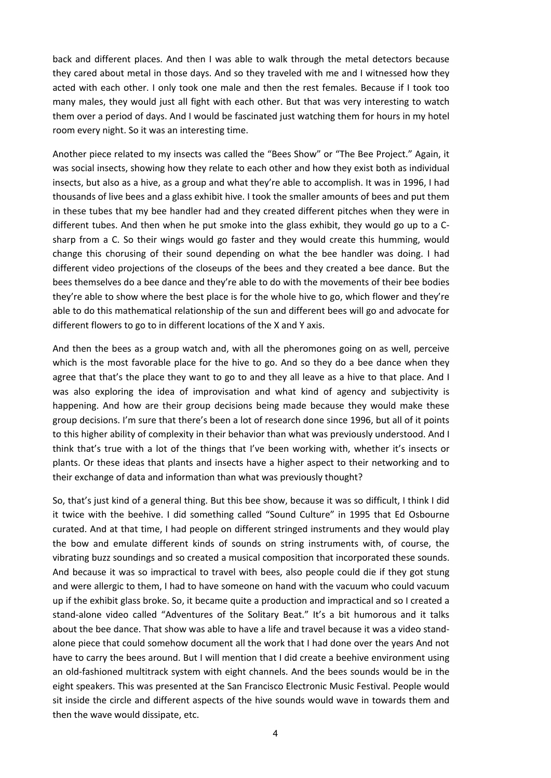back and different places. And then I was able to walk through the metal detectors because they cared about metal in those days. And so they traveled with me and I witnessed how they acted with each other. I only took one male and then the rest females. Because if I took too many males, they would just all fight with each other. But that was very interesting to watch them over a period of days. And I would be fascinated just watching them for hours in my hotel room every night. So it was an interesting time.

Another piece related to my insects was called the "Bees Show" or "The Bee Project." Again, it was social insects, showing how they relate to each other and how they exist both as individual insects, but also as a hive, as a group and what they're able to accomplish. It was in 1996, I had thousands of live bees and a glass exhibit hive. I took the smaller amounts of bees and put them in these tubes that my bee handler had and they created different pitches when they were in different tubes. And then when he put smoke into the glass exhibit, they would go up to a Csharp from a C. So their wings would go faster and they would create this humming, would change this chorusing of their sound depending on what the bee handler was doing. I had different video projections of the closeups of the bees and they created a bee dance. But the bees themselves do a bee dance and they're able to do with the movements of their bee bodies they're able to show where the best place is for the whole hive to go, which flower and they're able to do this mathematical relationship of the sun and different bees will go and advocate for different flowers to go to in different locations of the X and Y axis.

And then the bees as a group watch and, with all the pheromones going on as well, perceive which is the most favorable place for the hive to go. And so they do a bee dance when they agree that that's the place they want to go to and they all leave as a hive to that place. And I was also exploring the idea of improvisation and what kind of agency and subjectivity is happening. And how are their group decisions being made because they would make these group decisions. I'm sure that there's been a lot of research done since 1996, but all of it points to this higher ability of complexity in their behavior than what was previously understood. And I think that's true with a lot of the things that I've been working with, whether it's insects or plants. Or these ideas that plants and insects have a higher aspect to their networking and to their exchange of data and information than what was previously thought?

So, that's just kind of a general thing. But this bee show, because it was so difficult, I think I did it twice with the beehive. I did something called "Sound Culture" in 1995 that Ed Osbourne curated. And at that time, I had people on different stringed instruments and they would play the bow and emulate different kinds of sounds on string instruments with, of course, the vibrating buzz soundings and so created a musical composition that incorporated these sounds. And because it was so impractical to travel with bees, also people could die if they got stung and were allergic to them, I had to have someone on hand with the vacuum who could vacuum up if the exhibit glass broke. So, it became quite a production and impractical and so I created a stand-alone video called "Adventures of the Solitary Beat." It's a bit humorous and it talks about the bee dance. That show was able to have a life and travel because it was a video standalone piece that could somehow document all the work that I had done over the years And not have to carry the bees around. But I will mention that I did create a beehive environment using an old-fashioned multitrack system with eight channels. And the bees sounds would be in the eight speakers. This was presented at the San Francisco Electronic Music Festival. People would sit inside the circle and different aspects of the hive sounds would wave in towards them and then the wave would dissipate, etc.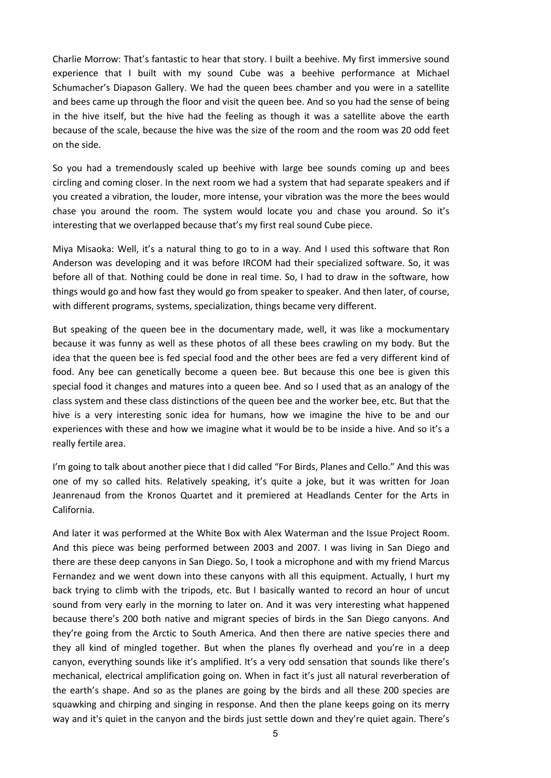Charlie Morrow: That's fantastic to hear that story. I built a beehive. My first immersive sound experience that I built with my sound Cube was a beehive performance at Michael Schumacher's Diapason Gallery. We had the queen bees chamber and you were in a satellite and bees came up through the floor and visit the queen bee. And so you had the sense of being in the hive itself, but the hive had the feeling as though it was a satellite above the earth because of the scale, because the hive was the size of the room and the room was 20 odd feet on the side.

So you had a tremendously scaled up beehive with large bee sounds coming up and bees circling and coming closer. In the next room we had a system that had separate speakers and if you created a vibration, the louder, more intense, your vibration was the more the bees would chase you around the room. The system would locate you and chase you around. So it's interesting that we overlapped because that's my first real sound Cube piece.

Miya Misaoka: Well, it's a natural thing to go to in a way. And I used this software that Ron Anderson was developing and it was before IRCOM had their specialized software. So, it was before all of that. Nothing could be done in real time. So, I had to draw in the software, how things would go and how fast they would go from speaker to speaker. And then later, of course, with different programs, systems, specialization, things became very different.

But speaking of the queen bee in the documentary made, well, it was like a mockumentary because it was funny as well as these photos of all these bees crawling on my body. But the idea that the queen bee is fed special food and the other bees are fed a very different kind of food. Any bee can genetically become a queen bee. But because this one bee is given this special food it changes and matures into a queen bee. And so I used that as an analogy of the class system and these class distinctions of the queen bee and the worker bee, etc. But that the hive is a very interesting sonic idea for humans, how we imagine the hive to be and our experiences with these and how we imagine what it would be to be inside a hive. And so it's a really fertile area.

I'm going to talk about another piece that I did called "For Birds, Planes and Cello." And this was one of my so called hits. Relatively speaking, it's quite a joke, but it was written for Joan Jeanrenaud from the Kronos Quartet and it premiered at Headlands Center for the Arts in California.

And later it was performed at the White Box with Alex Waterman and the Issue Project Room. And this piece was being performed between 2003 and 2007. I was living in San Diego and there are these deep canyons in San Diego. So, I took a microphone and with my friend Marcus Fernandez and we went down into these canyons with all this equipment. Actually, I hurt my back trying to climb with the tripods, etc. But I basically wanted to record an hour of uncut sound from very early in the morning to later on. And it was very interesting what happened because there's 200 both native and migrant species of birds in the San Diego canyons. And they're going from the Arctic to South America. And then there are native species there and they all kind of mingled together. But when the planes fly overhead and you're in a deep canyon, everything sounds like it's amplified. It's a very odd sensation that sounds like there's mechanical, electrical amplification going on. When in fact it's just all natural reverberation of the earth's shape. And so as the planes are going by the birds and all these 200 species are squawking and chirping and singing in response. And then the plane keeps going on its merry way and it's quiet in the canyon and the birds just settle down and they're quiet again. There's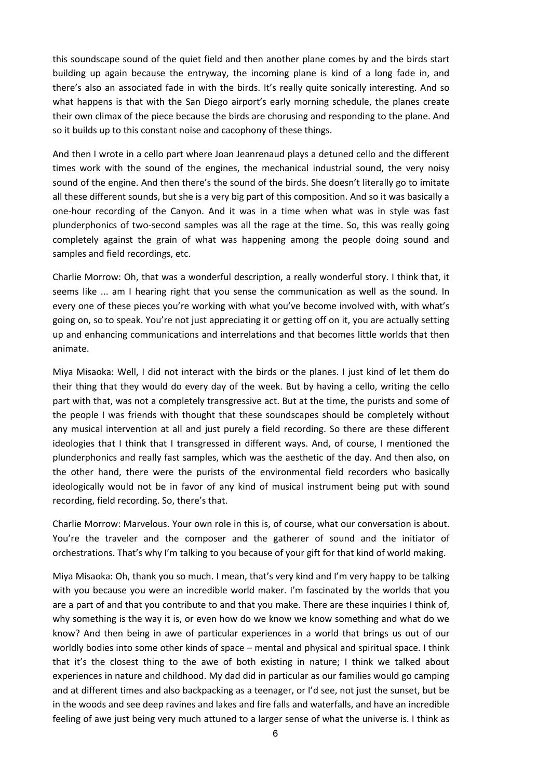this soundscape sound of the quiet field and then another plane comes by and the birds start building up again because the entryway, the incoming plane is kind of a long fade in, and there's also an associated fade in with the birds. It's really quite sonically interesting. And so what happens is that with the San Diego airport's early morning schedule, the planes create their own climax of the piece because the birds are chorusing and responding to the plane. And so it builds up to this constant noise and cacophony of these things.

And then I wrote in a cello part where Joan Jeanrenaud plays a detuned cello and the different times work with the sound of the engines, the mechanical industrial sound, the very noisy sound of the engine. And then there's the sound of the birds. She doesn't literally go to imitate all these different sounds, but she is a very big part of this composition. And so it was basically a one-hour recording of the Canyon. And it was in a time when what was in style was fast plunderphonics of two-second samples was all the rage at the time. So, this was really going completely against the grain of what was happening among the people doing sound and samples and field recordings, etc.

Charlie Morrow: Oh, that was a wonderful description, a really wonderful story. I think that, it seems like ... am I hearing right that you sense the communication as well as the sound. In every one of these pieces you're working with what you've become involved with, with what's going on, so to speak. You're not just appreciating it or getting off on it, you are actually setting up and enhancing communications and interrelations and that becomes little worlds that then animate.

Miya Misaoka: Well, I did not interact with the birds or the planes. I just kind of let them do their thing that they would do every day of the week. But by having a cello, writing the cello part with that, was not a completely transgressive act. But at the time, the purists and some of the people I was friends with thought that these soundscapes should be completely without any musical intervention at all and just purely a field recording. So there are these different ideologies that I think that I transgressed in different ways. And, of course, I mentioned the plunderphonics and really fast samples, which was the aesthetic of the day. And then also, on the other hand, there were the purists of the environmental field recorders who basically ideologically would not be in favor of any kind of musical instrument being put with sound recording, field recording. So, there's that.

Charlie Morrow: Marvelous. Your own role in this is, of course, what our conversation is about. You're the traveler and the composer and the gatherer of sound and the initiator of orchestrations. That's why I'm talking to you because of your gift for that kind of world making.

Miya Misaoka: Oh, thank you so much. I mean, that's very kind and I'm very happy to be talking with you because you were an incredible world maker. I'm fascinated by the worlds that you are a part of and that you contribute to and that you make. There are these inquiries I think of, why something is the way it is, or even how do we know we know something and what do we know? And then being in awe of particular experiences in a world that brings us out of our worldly bodies into some other kinds of space – mental and physical and spiritual space. I think that it's the closest thing to the awe of both existing in nature; I think we talked about experiences in nature and childhood. My dad did in particular as our families would go camping and at different times and also backpacking as a teenager, or I'd see, not just the sunset, but be in the woods and see deep ravines and lakes and fire falls and waterfalls, and have an incredible feeling of awe just being very much attuned to a larger sense of what the universe is. I think as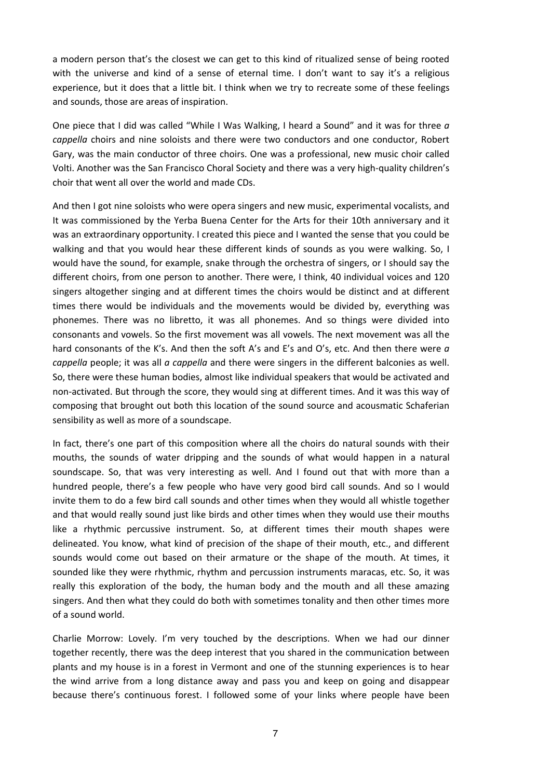a modern person that's the closest we can get to this kind of ritualized sense of being rooted with the universe and kind of a sense of eternal time. I don't want to say it's a religious experience, but it does that a little bit. I think when we try to recreate some of these feelings and sounds, those are areas of inspiration.

One piece that I did was called "While I Was Walking, I heard a Sound" and it was for three *a cappella* choirs and nine soloists and there were two conductors and one conductor, Robert Gary, was the main conductor of three choirs. One was a professional, new music choir called Volti. Another was the San Francisco Choral Society and there was a very high-quality children's choir that went all over the world and made CDs.

And then I got nine soloists who were opera singers and new music, experimental vocalists, and It was commissioned by the Yerba Buena Center for the Arts for their 10th anniversary and it was an extraordinary opportunity. I created this piece and I wanted the sense that you could be walking and that you would hear these different kinds of sounds as you were walking. So, I would have the sound, for example, snake through the orchestra of singers, or I should say the different choirs, from one person to another. There were, I think, 40 individual voices and 120 singers altogether singing and at different times the choirs would be distinct and at different times there would be individuals and the movements would be divided by, everything was phonemes. There was no libretto, it was all phonemes. And so things were divided into consonants and vowels. So the first movement was all vowels. The next movement was all the hard consonants of the K's. And then the soft A's and E's and O's, etc. And then there were *a cappella* people; it was all *a cappella* and there were singers in the different balconies as well. So, there were these human bodies, almost like individual speakers that would be activated and non-activated. But through the score, they would sing at different times. And it was this way of composing that brought out both this location of the sound source and acousmatic Schaferian sensibility as well as more of a soundscape.

In fact, there's one part of this composition where all the choirs do natural sounds with their mouths, the sounds of water dripping and the sounds of what would happen in a natural soundscape. So, that was very interesting as well. And I found out that with more than a hundred people, there's a few people who have very good bird call sounds. And so I would invite them to do a few bird call sounds and other times when they would all whistle together and that would really sound just like birds and other times when they would use their mouths like a rhythmic percussive instrument. So, at different times their mouth shapes were delineated. You know, what kind of precision of the shape of their mouth, etc., and different sounds would come out based on their armature or the shape of the mouth. At times, it sounded like they were rhythmic, rhythm and percussion instruments maracas, etc. So, it was really this exploration of the body, the human body and the mouth and all these amazing singers. And then what they could do both with sometimes tonality and then other times more of a sound world.

Charlie Morrow: Lovely. I'm very touched by the descriptions. When we had our dinner together recently, there was the deep interest that you shared in the communication between plants and my house is in a forest in Vermont and one of the stunning experiences is to hear the wind arrive from a long distance away and pass you and keep on going and disappear because there's continuous forest. I followed some of your links where people have been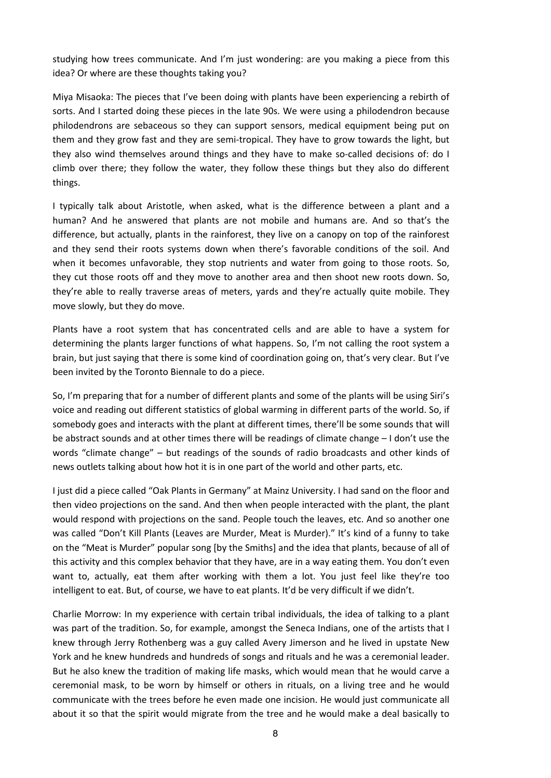studying how trees communicate. And I'm just wondering: are you making a piece from this idea? Or where are these thoughts taking you?

Miya Misaoka: The pieces that I've been doing with plants have been experiencing a rebirth of sorts. And I started doing these pieces in the late 90s. We were using a philodendron because philodendrons are sebaceous so they can support sensors, medical equipment being put on them and they grow fast and they are semi-tropical. They have to grow towards the light, but they also wind themselves around things and they have to make so-called decisions of: do I climb over there; they follow the water, they follow these things but they also do different things.

I typically talk about Aristotle, when asked, what is the difference between a plant and a human? And he answered that plants are not mobile and humans are. And so that's the difference, but actually, plants in the rainforest, they live on a canopy on top of the rainforest and they send their roots systems down when there's favorable conditions of the soil. And when it becomes unfavorable, they stop nutrients and water from going to those roots. So, they cut those roots off and they move to another area and then shoot new roots down. So, they're able to really traverse areas of meters, yards and they're actually quite mobile. They move slowly, but they do move.

Plants have a root system that has concentrated cells and are able to have a system for determining the plants larger functions of what happens. So, I'm not calling the root system a brain, but just saying that there is some kind of coordination going on, that's very clear. But I've been invited by the Toronto Biennale to do a piece.

So, I'm preparing that for a number of different plants and some of the plants will be using Siri's voice and reading out different statistics of global warming in different parts of the world. So, if somebody goes and interacts with the plant at different times, there'll be some sounds that will be abstract sounds and at other times there will be readings of climate change – I don't use the words "climate change" – but readings of the sounds of radio broadcasts and other kinds of news outlets talking about how hot it is in one part of the world and other parts, etc.

I just did a piece called "Oak Plants in Germany" at Mainz University. I had sand on the floor and then video projections on the sand. And then when people interacted with the plant, the plant would respond with projections on the sand. People touch the leaves, etc. And so another one was called "Don't Kill Plants (Leaves are Murder, Meat is Murder)." It's kind of a funny to take on the "Meat is Murder" popular song [by the Smiths] and the idea that plants, because of all of this activity and this complex behavior that they have, are in a way eating them. You don't even want to, actually, eat them after working with them a lot. You just feel like they're too intelligent to eat. But, of course, we have to eat plants. It'd be very difficult if we didn't.

Charlie Morrow: In my experience with certain tribal individuals, the idea of talking to a plant was part of the tradition. So, for example, amongst the Seneca Indians, one of the artists that I knew through Jerry Rothenberg was a guy called Avery Jimerson and he lived in upstate New York and he knew hundreds and hundreds of songs and rituals and he was a ceremonial leader. But he also knew the tradition of making life masks, which would mean that he would carve a ceremonial mask, to be worn by himself or others in rituals, on a living tree and he would communicate with the trees before he even made one incision. He would just communicate all about it so that the spirit would migrate from the tree and he would make a deal basically to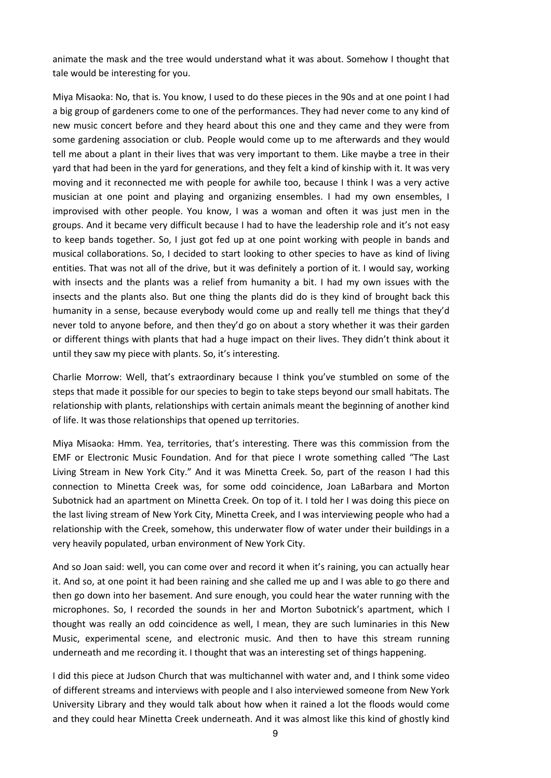animate the mask and the tree would understand what it was about. Somehow I thought that tale would be interesting for you.

Miya Misaoka: No, that is. You know, I used to do these pieces in the 90s and at one point I had a big group of gardeners come to one of the performances. They had never come to any kind of new music concert before and they heard about this one and they came and they were from some gardening association or club. People would come up to me afterwards and they would tell me about a plant in their lives that was very important to them. Like maybe a tree in their yard that had been in the yard for generations, and they felt a kind of kinship with it. It was very moving and it reconnected me with people for awhile too, because I think I was a very active musician at one point and playing and organizing ensembles. I had my own ensembles, I improvised with other people. You know, I was a woman and often it was just men in the groups. And it became very difficult because I had to have the leadership role and it's not easy to keep bands together. So, I just got fed up at one point working with people in bands and musical collaborations. So, I decided to start looking to other species to have as kind of living entities. That was not all of the drive, but it was definitely a portion of it. I would say, working with insects and the plants was a relief from humanity a bit. I had my own issues with the insects and the plants also. But one thing the plants did do is they kind of brought back this humanity in a sense, because everybody would come up and really tell me things that they'd never told to anyone before, and then they'd go on about a story whether it was their garden or different things with plants that had a huge impact on their lives. They didn't think about it until they saw my piece with plants. So, it's interesting.

Charlie Morrow: Well, that's extraordinary because I think you've stumbled on some of the steps that made it possible for our species to begin to take steps beyond our small habitats. The relationship with plants, relationships with certain animals meant the beginning of another kind of life. It was those relationships that opened up territories.

Miya Misaoka: Hmm. Yea, territories, that's interesting. There was this commission from the EMF or Electronic Music Foundation. And for that piece I wrote something called "The Last Living Stream in New York City." And it was Minetta Creek. So, part of the reason I had this connection to Minetta Creek was, for some odd coincidence, Joan LaBarbara and Morton Subotnick had an apartment on Minetta Creek. On top of it. I told her I was doing this piece on the last living stream of New York City, Minetta Creek, and I was interviewing people who had a relationship with the Creek, somehow, this underwater flow of water under their buildings in a very heavily populated, urban environment of New York City.

And so Joan said: well, you can come over and record it when it's raining, you can actually hear it. And so, at one point it had been raining and she called me up and I was able to go there and then go down into her basement. And sure enough, you could hear the water running with the microphones. So, I recorded the sounds in her and Morton Subotnick's apartment, which I thought was really an odd coincidence as well, I mean, they are such luminaries in this New Music, experimental scene, and electronic music. And then to have this stream running underneath and me recording it. I thought that was an interesting set of things happening.

I did this piece at Judson Church that was multichannel with water and, and I think some video of different streams and interviews with people and I also interviewed someone from New York University Library and they would talk about how when it rained a lot the floods would come and they could hear Minetta Creek underneath. And it was almost like this kind of ghostly kind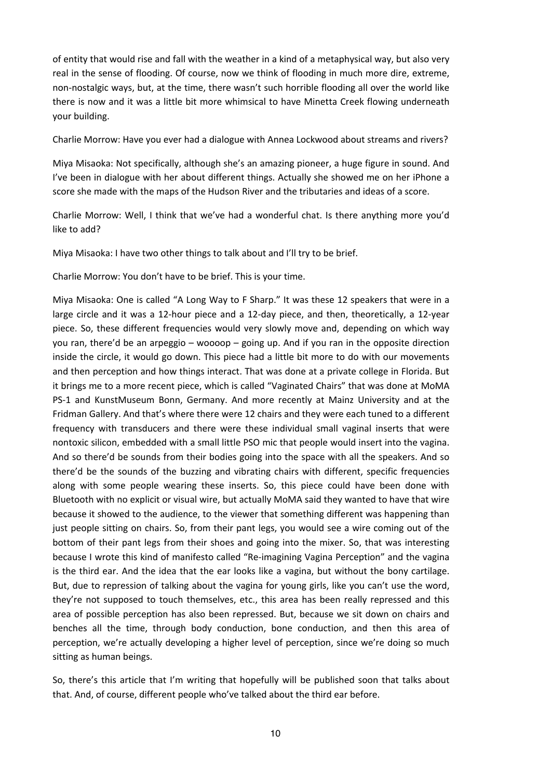of entity that would rise and fall with the weather in a kind of a metaphysical way, but also very real in the sense of flooding. Of course, now we think of flooding in much more dire, extreme, non-nostalgic ways, but, at the time, there wasn't such horrible flooding all over the world like there is now and it was a little bit more whimsical to have Minetta Creek flowing underneath your building.

Charlie Morrow: Have you ever had a dialogue with Annea Lockwood about streams and rivers?

Miya Misaoka: Not specifically, although she's an amazing pioneer, a huge figure in sound. And I've been in dialogue with her about different things. Actually she showed me on her iPhone a score she made with the maps of the Hudson River and the tributaries and ideas of a score.

Charlie Morrow: Well, I think that we've had a wonderful chat. Is there anything more you'd like to add?

Miya Misaoka: I have two other things to talk about and I'll try to be brief.

Charlie Morrow: You don't have to be brief. This is your time.

Miya Misaoka: One is called "A Long Way to F Sharp." It was these 12 speakers that were in a large circle and it was a 12-hour piece and a 12-day piece, and then, theoretically, a 12-year piece. So, these different frequencies would very slowly move and, depending on which way you ran, there'd be an arpeggio – woooop – going up. And if you ran in the opposite direction inside the circle, it would go down. This piece had a little bit more to do with our movements and then perception and how things interact. That was done at a private college in Florida. But it brings me to a more recent piece, which is called "Vaginated Chairs" that was done at MoMA PS-1 and KunstMuseum Bonn, Germany. And more recently at Mainz University and at the Fridman Gallery. And that's where there were 12 chairs and they were each tuned to a different frequency with transducers and there were these individual small vaginal inserts that were nontoxic silicon, embedded with a small little PSO mic that people would insert into the vagina. And so there'd be sounds from their bodies going into the space with all the speakers. And so there'd be the sounds of the buzzing and vibrating chairs with different, specific frequencies along with some people wearing these inserts. So, this piece could have been done with Bluetooth with no explicit or visual wire, but actually MoMA said they wanted to have that wire because it showed to the audience, to the viewer that something different was happening than just people sitting on chairs. So, from their pant legs, you would see a wire coming out of the bottom of their pant legs from their shoes and going into the mixer. So, that was interesting because I wrote this kind of manifesto called "Re-imagining Vagina Perception" and the vagina is the third ear. And the idea that the ear looks like a vagina, but without the bony cartilage. But, due to repression of talking about the vagina for young girls, like you can't use the word, they're not supposed to touch themselves, etc., this area has been really repressed and this area of possible perception has also been repressed. But, because we sit down on chairs and benches all the time, through body conduction, bone conduction, and then this area of perception, we're actually developing a higher level of perception, since we're doing so much sitting as human beings.

So, there's this article that I'm writing that hopefully will be published soon that talks about that. And, of course, different people who've talked about the third ear before.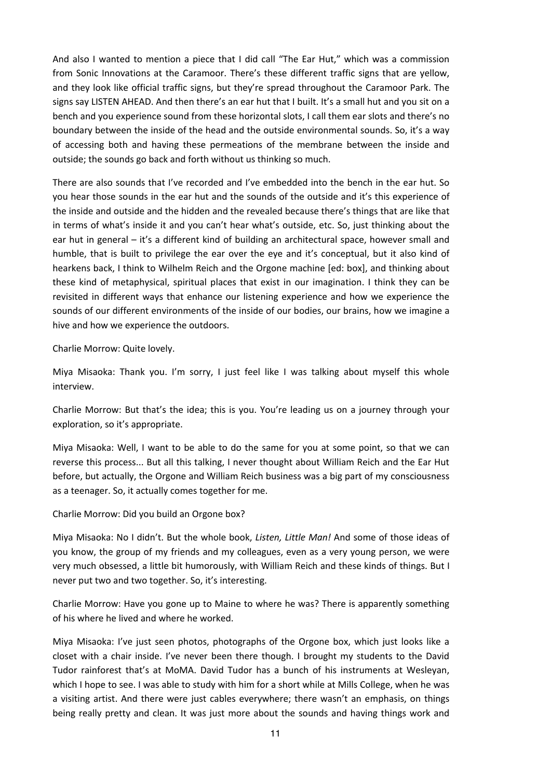And also I wanted to mention a piece that I did call "The Ear Hut," which was a commission from Sonic Innovations at the Caramoor. There's these different traffic signs that are yellow, and they look like official traffic signs, but they're spread throughout the Caramoor Park. The signs say LISTEN AHEAD. And then there's an ear hut that I built. It's a small hut and you sit on a bench and you experience sound from these horizontal slots, I call them ear slots and there's no boundary between the inside of the head and the outside environmental sounds. So, it's a way of accessing both and having these permeations of the membrane between the inside and outside; the sounds go back and forth without us thinking so much.

There are also sounds that I've recorded and I've embedded into the bench in the ear hut. So you hear those sounds in the ear hut and the sounds of the outside and it's this experience of the inside and outside and the hidden and the revealed because there's things that are like that in terms of what's inside it and you can't hear what's outside, etc. So, just thinking about the ear hut in general – it's a different kind of building an architectural space, however small and humble, that is built to privilege the ear over the eye and it's conceptual, but it also kind of hearkens back, I think to Wilhelm Reich and the Orgone machine [ed: box], and thinking about these kind of metaphysical, spiritual places that exist in our imagination. I think they can be revisited in different ways that enhance our listening experience and how we experience the sounds of our different environments of the inside of our bodies, our brains, how we imagine a hive and how we experience the outdoors.

Charlie Morrow: Quite lovely.

Miya Misaoka: Thank you. I'm sorry, I just feel like I was talking about myself this whole interview.

Charlie Morrow: But that's the idea; this is you. You're leading us on a journey through your exploration, so it's appropriate.

Miya Misaoka: Well, I want to be able to do the same for you at some point, so that we can reverse this process... But all this talking, I never thought about William Reich and the Ear Hut before, but actually, the Orgone and William Reich business was a big part of my consciousness as a teenager. So, it actually comes together for me.

Charlie Morrow: Did you build an Orgone box?

Miya Misaoka: No I didn't. But the whole book, *Listen, Little Man!* And some of those ideas of you know, the group of my friends and my colleagues, even as a very young person, we were very much obsessed, a little bit humorously, with William Reich and these kinds of things. But I never put two and two together. So, it's interesting.

Charlie Morrow: Have you gone up to Maine to where he was? There is apparently something of his where he lived and where he worked.

Miya Misaoka: I've just seen photos, photographs of the Orgone box, which just looks like a closet with a chair inside. I've never been there though. I brought my students to the David Tudor rainforest that's at MoMA. David Tudor has a bunch of his instruments at Wesleyan, which I hope to see. I was able to study with him for a short while at Mills College, when he was a visiting artist. And there were just cables everywhere; there wasn't an emphasis, on things being really pretty and clean. It was just more about the sounds and having things work and